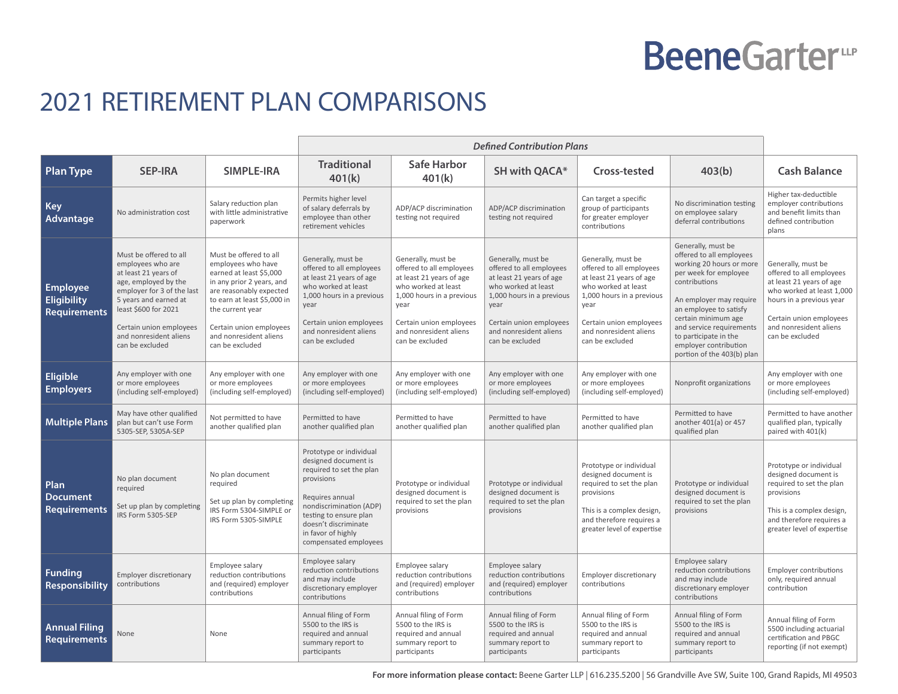## **BeeneGarter**<sup>w</sup>

## 2021 RETIREMENT PLAN COMPARISONS

|                                                       |                                                                                                                                                                                                                                                    |                                                                                                                                                                                                                                                            | <b>Defined Contribution Plans</b>                                                                                                                                                                                                        |                                                                                                                                                                                                                |                                                                                                                                                                                                                |                                                                                                                                                                                                                |                                                                                                                                                                                                                                                                                                              |                                                                                                                                                                                                             |
|-------------------------------------------------------|----------------------------------------------------------------------------------------------------------------------------------------------------------------------------------------------------------------------------------------------------|------------------------------------------------------------------------------------------------------------------------------------------------------------------------------------------------------------------------------------------------------------|------------------------------------------------------------------------------------------------------------------------------------------------------------------------------------------------------------------------------------------|----------------------------------------------------------------------------------------------------------------------------------------------------------------------------------------------------------------|----------------------------------------------------------------------------------------------------------------------------------------------------------------------------------------------------------------|----------------------------------------------------------------------------------------------------------------------------------------------------------------------------------------------------------------|--------------------------------------------------------------------------------------------------------------------------------------------------------------------------------------------------------------------------------------------------------------------------------------------------------------|-------------------------------------------------------------------------------------------------------------------------------------------------------------------------------------------------------------|
| <b>Plan Type</b>                                      | <b>SEP-IRA</b>                                                                                                                                                                                                                                     | <b>SIMPLE-IRA</b>                                                                                                                                                                                                                                          | <b>Traditional</b><br>401(k)                                                                                                                                                                                                             | <b>Safe Harbor</b><br>401(k)                                                                                                                                                                                   | <b>SH with QACA*</b>                                                                                                                                                                                           | Cross-tested                                                                                                                                                                                                   | 403(b)                                                                                                                                                                                                                                                                                                       | <b>Cash Balance</b>                                                                                                                                                                                         |
| <b>Key</b><br>Advantage                               | No administration cost                                                                                                                                                                                                                             | Salary reduction plan<br>with little administrative<br>paperwork                                                                                                                                                                                           | Permits higher level<br>of salary deferrals by<br>employee than other<br>retirement vehicles                                                                                                                                             | ADP/ACP discrimination<br>testing not required                                                                                                                                                                 | ADP/ACP discrimination<br>testing not required                                                                                                                                                                 | Can target a specific<br>group of participants<br>for greater employer<br>contributions                                                                                                                        | No discrimination testing<br>on employee salary<br>deferral contributions                                                                                                                                                                                                                                    | Higher tax-deductible<br>employer contributions<br>and benefit limits than<br>defined contribution<br>plans                                                                                                 |
| <b>Employee</b><br><b>Eligibility</b><br>Requirements | Must be offered to all<br>employees who are<br>at least 21 years of<br>age, employed by the<br>employer for 3 of the last<br>5 years and earned at<br>least \$600 for 2021<br>Certain union employees<br>and nonresident aliens<br>can be excluded | Must be offered to all<br>employees who have<br>earned at least \$5,000<br>in any prior 2 years, and<br>are reasonably expected<br>to earn at least \$5,000 in<br>the current year<br>Certain union employees<br>and nonresident aliens<br>can be excluded | Generally, must be<br>offered to all employees<br>at least 21 years of age<br>who worked at least<br>1,000 hours in a previous<br>year<br>Certain union employees<br>and nonresident aliens<br>can be excluded                           | Generally, must be<br>offered to all employees<br>at least 21 years of age<br>who worked at least<br>1,000 hours in a previous<br>year<br>Certain union employees<br>and nonresident aliens<br>can be excluded | Generally, must be<br>offered to all employees<br>at least 21 years of age<br>who worked at least<br>1,000 hours in a previous<br>year<br>Certain union employees<br>and nonresident aliens<br>can be excluded | Generally, must be<br>offered to all employees<br>at least 21 years of age<br>who worked at least<br>1,000 hours in a previous<br>year<br>Certain union employees<br>and nonresident aliens<br>can be excluded | Generally, must be<br>offered to all employees<br>working 20 hours or more<br>per week for employee<br>contributions<br>An employer may require<br>an employee to satisfy<br>certain minimum age<br>and service requirements<br>to participate in the<br>employer contribution<br>portion of the 403(b) plan | Generally, must be<br>offered to all employees<br>at least 21 years of age<br>who worked at least 1,000<br>hours in a previous year<br>Certain union employees<br>and nonresident aliens<br>can be excluded |
| <b>Eligible</b><br><b>Employers</b>                   | Any employer with one<br>or more employees<br>(including self-employed)                                                                                                                                                                            | Any employer with one<br>or more employees<br>(including self-employed)                                                                                                                                                                                    | Any employer with one<br>or more employees<br>(including self-employed)                                                                                                                                                                  | Any employer with one<br>or more employees<br>(including self-employed)                                                                                                                                        | Any employer with one<br>or more employees<br>(including self-employed)                                                                                                                                        | Any employer with one<br>or more employees<br>(including self-employed)                                                                                                                                        | Nonprofit organizations                                                                                                                                                                                                                                                                                      | Any employer with one<br>or more employees<br>(including self-employed)                                                                                                                                     |
| <b>Multiple Plans</b>                                 | May have other qualified<br>plan but can't use Form<br>5305-SEP. 5305A-SEP                                                                                                                                                                         | Not permitted to have<br>another qualified plan                                                                                                                                                                                                            | Permitted to have<br>another qualified plan                                                                                                                                                                                              | Permitted to have<br>another qualified plan                                                                                                                                                                    | Permitted to have<br>another qualified plan                                                                                                                                                                    | Permitted to have<br>another qualified plan                                                                                                                                                                    | Permitted to have<br>another 401(a) or 457<br>qualified plan                                                                                                                                                                                                                                                 | Permitted to have another<br>qualified plan, typically<br>paired with 401(k)                                                                                                                                |
| Plan<br><b>Document</b><br>Requirements               | No plan document<br>required<br>Set up plan by completing<br>IRS Form 5305-SEP                                                                                                                                                                     | No plan document<br>required<br>Set up plan by completing<br>IRS Form 5304-SIMPLE or<br>IRS Form 5305-SIMPLE                                                                                                                                               | Prototype or individual<br>designed document is<br>required to set the plan<br>provisions<br>Requires annual<br>nondiscrimination (ADP)<br>testing to ensure plan<br>doesn't discriminate<br>in favor of highly<br>compensated employees | Prototype or individual<br>designed document is<br>required to set the plan<br>provisions                                                                                                                      | Prototype or individual<br>designed document is<br>required to set the plan<br>provisions                                                                                                                      | Prototype or individual<br>designed document is<br>required to set the plan<br>provisions<br>This is a complex design,<br>and therefore requires a<br>greater level of expertise                               | Prototype or individual<br>designed document is<br>required to set the plan<br>provisions                                                                                                                                                                                                                    | Prototype or individual<br>designed document is<br>required to set the plan<br>provisions<br>This is a complex design,<br>and therefore requires a<br>greater level of expertise                            |
| <b>Funding</b><br>Responsibility                      | Employer discretionary<br>contributions                                                                                                                                                                                                            | Employee salary<br>reduction contributions<br>and (required) employer<br>contributions                                                                                                                                                                     | Employee salary<br>reduction contributions<br>and may include<br>discretionary employer<br>contributions                                                                                                                                 | Employee salary<br>reduction contributions<br>and (required) employer<br>contributions                                                                                                                         | Employee salary<br>reduction contributions<br>and (required) employer<br>contributions                                                                                                                         | Employer discretionary<br>contributions                                                                                                                                                                        | Employee salary<br>reduction contributions<br>and may include<br>discretionary employer<br>contributions                                                                                                                                                                                                     | <b>Employer contributions</b><br>only, required annual<br>contribution                                                                                                                                      |
| <b>Annual Filing</b><br>Requirements                  | None                                                                                                                                                                                                                                               | None                                                                                                                                                                                                                                                       | Annual filing of Form<br>5500 to the IRS is<br>required and annual<br>summary report to<br>participants                                                                                                                                  | Annual filing of Form<br>5500 to the IRS is<br>required and annual<br>summary report to<br>participants                                                                                                        | Annual filing of Form<br>5500 to the IRS is<br>required and annual<br>summary report to<br>participants                                                                                                        | Annual filing of Form<br>5500 to the IRS is<br>required and annual<br>summary report to<br>participants                                                                                                        | Annual filing of Form<br>5500 to the IRS is<br>required and annual<br>summary report to<br>participants                                                                                                                                                                                                      | Annual filing of Form<br>5500 including actuarial<br>certification and PBGC<br>reporting (if not exempt)                                                                                                    |

**For more information please contact:** Beene Garter LLP | 616.235.5200 | 56 Grandville Ave SW, Suite 100, Grand Rapids, MI 49503